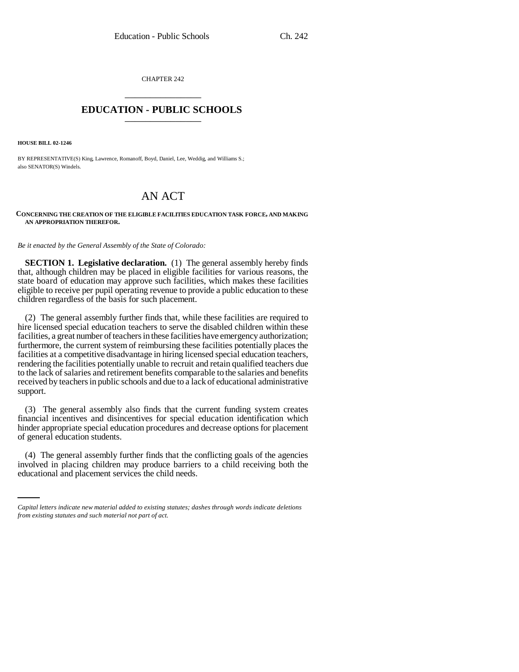CHAPTER 242 \_\_\_\_\_\_\_\_\_\_\_\_\_\_\_

## **EDUCATION - PUBLIC SCHOOLS** \_\_\_\_\_\_\_\_\_\_\_\_\_\_\_

**HOUSE BILL 02-1246**

BY REPRESENTATIVE(S) King, Lawrence, Romanoff, Boyd, Daniel, Lee, Weddig, and Williams S.; also SENATOR(S) Windels.

## AN ACT

## **CONCERNING THE CREATION OF THE ELIGIBLE FACILITIES EDUCATION TASK FORCE, AND MAKING AN APPROPRIATION THEREFOR.**

*Be it enacted by the General Assembly of the State of Colorado:*

**SECTION 1. Legislative declaration.** (1) The general assembly hereby finds that, although children may be placed in eligible facilities for various reasons, the state board of education may approve such facilities, which makes these facilities eligible to receive per pupil operating revenue to provide a public education to these children regardless of the basis for such placement.

(2) The general assembly further finds that, while these facilities are required to hire licensed special education teachers to serve the disabled children within these facilities, a great number of teachers in these facilities have emergency authorization; furthermore, the current system of reimbursing these facilities potentially places the facilities at a competitive disadvantage in hiring licensed special education teachers, rendering the facilities potentially unable to recruit and retain qualified teachers due to the lack of salaries and retirement benefits comparable to the salaries and benefits received by teachers in public schools and due to a lack of educational administrative support.

(3) The general assembly also finds that the current funding system creates financial incentives and disincentives for special education identification which hinder appropriate special education procedures and decrease options for placement of general education students.

(4) The general assembly further finds that the conflicting goals of the agencies involved in placing children may produce barriers to a child receiving both the educational and placement services the child needs.

*Capital letters indicate new material added to existing statutes; dashes through words indicate deletions from existing statutes and such material not part of act.*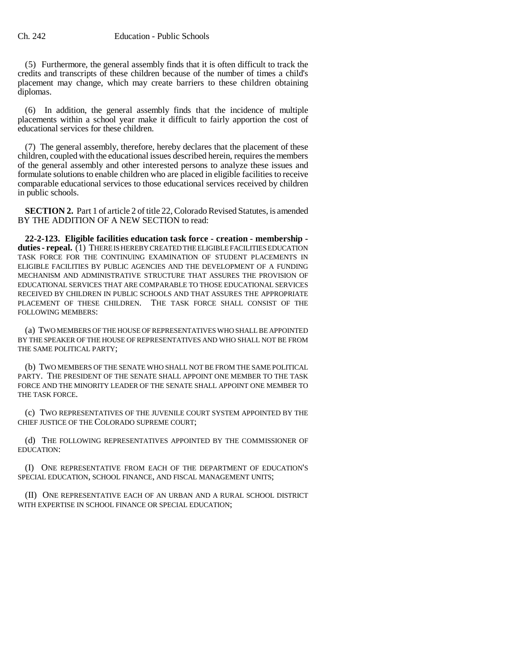(5) Furthermore, the general assembly finds that it is often difficult to track the credits and transcripts of these children because of the number of times a child's placement may change, which may create barriers to these children obtaining diplomas.

(6) In addition, the general assembly finds that the incidence of multiple placements within a school year make it difficult to fairly apportion the cost of educational services for these children.

(7) The general assembly, therefore, hereby declares that the placement of these children, coupled with the educational issues described herein, requires the members of the general assembly and other interested persons to analyze these issues and formulate solutions to enable children who are placed in eligible facilities to receive comparable educational services to those educational services received by children in public schools.

**SECTION 2.** Part 1 of article 2 of title 22, Colorado Revised Statutes, is amended BY THE ADDITION OF A NEW SECTION to read:

**22-2-123. Eligible facilities education task force - creation - membership duties - repeal.** (1) THERE IS HEREBY CREATED THE ELIGIBLE FACILITIES EDUCATION TASK FORCE FOR THE CONTINUING EXAMINATION OF STUDENT PLACEMENTS IN ELIGIBLE FACILITIES BY PUBLIC AGENCIES AND THE DEVELOPMENT OF A FUNDING MECHANISM AND ADMINISTRATIVE STRUCTURE THAT ASSURES THE PROVISION OF EDUCATIONAL SERVICES THAT ARE COMPARABLE TO THOSE EDUCATIONAL SERVICES RECEIVED BY CHILDREN IN PUBLIC SCHOOLS AND THAT ASSURES THE APPROPRIATE PLACEMENT OF THESE CHILDREN. THE TASK FORCE SHALL CONSIST OF THE FOLLOWING MEMBERS:

(a) TWO MEMBERS OF THE HOUSE OF REPRESENTATIVES WHO SHALL BE APPOINTED BY THE SPEAKER OF THE HOUSE OF REPRESENTATIVES AND WHO SHALL NOT BE FROM THE SAME POLITICAL PARTY;

(b) TWO MEMBERS OF THE SENATE WHO SHALL NOT BE FROM THE SAME POLITICAL PARTY. THE PRESIDENT OF THE SENATE SHALL APPOINT ONE MEMBER TO THE TASK FORCE AND THE MINORITY LEADER OF THE SENATE SHALL APPOINT ONE MEMBER TO THE TASK FORCE.

(c) TWO REPRESENTATIVES OF THE JUVENILE COURT SYSTEM APPOINTED BY THE CHIEF JUSTICE OF THE COLORADO SUPREME COURT;

(d) THE FOLLOWING REPRESENTATIVES APPOINTED BY THE COMMISSIONER OF EDUCATION:

(I) ONE REPRESENTATIVE FROM EACH OF THE DEPARTMENT OF EDUCATION'S SPECIAL EDUCATION, SCHOOL FINANCE, AND FISCAL MANAGEMENT UNITS;

(II) ONE REPRESENTATIVE EACH OF AN URBAN AND A RURAL SCHOOL DISTRICT WITH EXPERTISE IN SCHOOL FINANCE OR SPECIAL EDUCATION: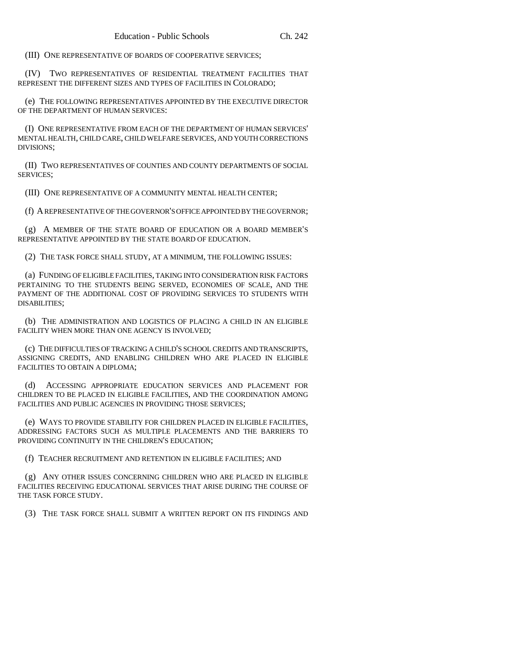(III) ONE REPRESENTATIVE OF BOARDS OF COOPERATIVE SERVICES;

(IV) TWO REPRESENTATIVES OF RESIDENTIAL TREATMENT FACILITIES THAT REPRESENT THE DIFFERENT SIZES AND TYPES OF FACILITIES IN COLORADO;

(e) THE FOLLOWING REPRESENTATIVES APPOINTED BY THE EXECUTIVE DIRECTOR OF THE DEPARTMENT OF HUMAN SERVICES:

(I) ONE REPRESENTATIVE FROM EACH OF THE DEPARTMENT OF HUMAN SERVICES' MENTAL HEALTH, CHILD CARE, CHILD WELFARE SERVICES, AND YOUTH CORRECTIONS DIVISIONS;

(II) TWO REPRESENTATIVES OF COUNTIES AND COUNTY DEPARTMENTS OF SOCIAL SERVICES;

(III) ONE REPRESENTATIVE OF A COMMUNITY MENTAL HEALTH CENTER;

(f) A REPRESENTATIVE OF THE GOVERNOR'S OFFICE APPOINTED BY THE GOVERNOR;

(g) A MEMBER OF THE STATE BOARD OF EDUCATION OR A BOARD MEMBER'S REPRESENTATIVE APPOINTED BY THE STATE BOARD OF EDUCATION.

(2) THE TASK FORCE SHALL STUDY, AT A MINIMUM, THE FOLLOWING ISSUES:

(a) FUNDING OF ELIGIBLE FACILITIES, TAKING INTO CONSIDERATION RISK FACTORS PERTAINING TO THE STUDENTS BEING SERVED, ECONOMIES OF SCALE, AND THE PAYMENT OF THE ADDITIONAL COST OF PROVIDING SERVICES TO STUDENTS WITH DISABILITIES;

(b) THE ADMINISTRATION AND LOGISTICS OF PLACING A CHILD IN AN ELIGIBLE FACILITY WHEN MORE THAN ONE AGENCY IS INVOLVED;

(c) THE DIFFICULTIES OF TRACKING A CHILD'S SCHOOL CREDITS AND TRANSCRIPTS, ASSIGNING CREDITS, AND ENABLING CHILDREN WHO ARE PLACED IN ELIGIBLE FACILITIES TO OBTAIN A DIPLOMA;

(d) ACCESSING APPROPRIATE EDUCATION SERVICES AND PLACEMENT FOR CHILDREN TO BE PLACED IN ELIGIBLE FACILITIES, AND THE COORDINATION AMONG FACILITIES AND PUBLIC AGENCIES IN PROVIDING THOSE SERVICES;

(e) WAYS TO PROVIDE STABILITY FOR CHILDREN PLACED IN ELIGIBLE FACILITIES, ADDRESSING FACTORS SUCH AS MULTIPLE PLACEMENTS AND THE BARRIERS TO PROVIDING CONTINUITY IN THE CHILDREN'S EDUCATION;

(f) TEACHER RECRUITMENT AND RETENTION IN ELIGIBLE FACILITIES; AND

(g) ANY OTHER ISSUES CONCERNING CHILDREN WHO ARE PLACED IN ELIGIBLE FACILITIES RECEIVING EDUCATIONAL SERVICES THAT ARISE DURING THE COURSE OF THE TASK FORCE STUDY.

(3) THE TASK FORCE SHALL SUBMIT A WRITTEN REPORT ON ITS FINDINGS AND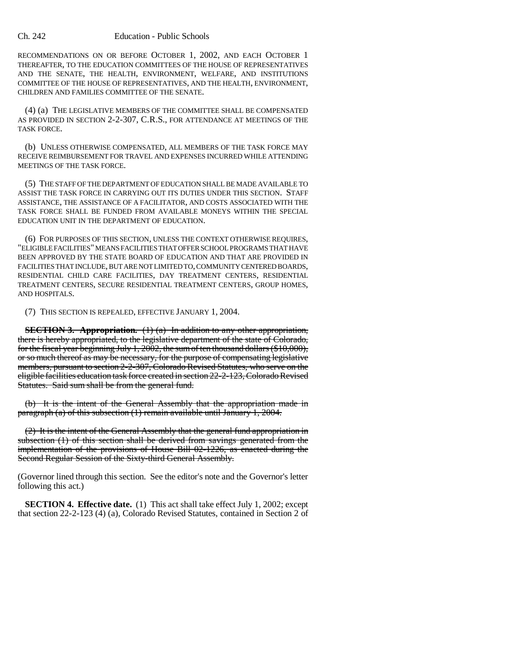RECOMMENDATIONS ON OR BEFORE OCTOBER 1, 2002, AND EACH OCTOBER 1 THEREAFTER, TO THE EDUCATION COMMITTEES OF THE HOUSE OF REPRESENTATIVES AND THE SENATE, THE HEALTH, ENVIRONMENT, WELFARE, AND INSTITUTIONS COMMITTEE OF THE HOUSE OF REPRESENTATIVES, AND THE HEALTH, ENVIRONMENT, CHILDREN AND FAMILIES COMMITTEE OF THE SENATE.

(4) (a) THE LEGISLATIVE MEMBERS OF THE COMMITTEE SHALL BE COMPENSATED AS PROVIDED IN SECTION 2-2-307, C.R.S., FOR ATTENDANCE AT MEETINGS OF THE TASK FORCE.

(b) UNLESS OTHERWISE COMPENSATED, ALL MEMBERS OF THE TASK FORCE MAY RECEIVE REIMBURSEMENT FOR TRAVEL AND EXPENSES INCURRED WHILE ATTENDING MEETINGS OF THE TASK FORCE.

(5) THE STAFF OF THE DEPARTMENT OF EDUCATION SHALL BE MADE AVAILABLE TO ASSIST THE TASK FORCE IN CARRYING OUT ITS DUTIES UNDER THIS SECTION. STAFF ASSISTANCE, THE ASSISTANCE OF A FACILITATOR, AND COSTS ASSOCIATED WITH THE TASK FORCE SHALL BE FUNDED FROM AVAILABLE MONEYS WITHIN THE SPECIAL EDUCATION UNIT IN THE DEPARTMENT OF EDUCATION.

(6) FOR PURPOSES OF THIS SECTION, UNLESS THE CONTEXT OTHERWISE REQUIRES, "ELIGIBLE FACILITIES" MEANS FACILITIES THAT OFFER SCHOOL PROGRAMS THAT HAVE BEEN APPROVED BY THE STATE BOARD OF EDUCATION AND THAT ARE PROVIDED IN FACILITIES THAT INCLUDE, BUT ARE NOT LIMITED TO, COMMUNITY CENTERED BOARDS, RESIDENTIAL CHILD CARE FACILITIES, DAY TREATMENT CENTERS, RESIDENTIAL TREATMENT CENTERS, SECURE RESIDENTIAL TREATMENT CENTERS, GROUP HOMES, AND HOSPITALS.

(7) THIS SECTION IS REPEALED, EFFECTIVE JANUARY 1, 2004.

**SECTION 3. Appropriation.** (1) (a) In addition to any other appropriation, there is hereby appropriated, to the legislative department of the state of Colorado, for the fiscal year beginning July 1, 2002, the sum of ten thousand dollars (\$10,000), or so much thereof as may be necessary, for the purpose of compensating legislative members, pursuant to section 2-2-307, Colorado Revised Statutes, who serve on the eligible facilities education task force created in section 22-2-123, Colorado Revised Statutes. Said sum shall be from the general fund.

(b) It is the intent of the General Assembly that the appropriation made in paragraph (a) of this subsection (1) remain available until January 1, 2004.

(2) It is the intent of the General Assembly that the general fund appropriation in subsection (1) of this section shall be derived from savings generated from the implementation of the provisions of House Bill 02-1226, as enacted during the Second Regular Session of the Sixty-third General Assembly.

(Governor lined through this section. See the editor's note and the Governor's letter following this act.)

**SECTION 4. Effective date.** (1) This act shall take effect July 1, 2002; except that section 22-2-123 (4) (a), Colorado Revised Statutes, contained in Section 2 of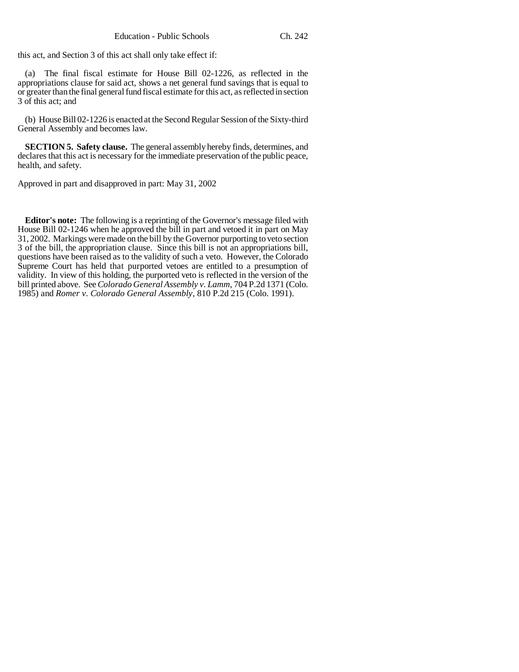this act, and Section 3 of this act shall only take effect if:

(a) The final fiscal estimate for House Bill 02-1226, as reflected in the appropriations clause for said act, shows a net general fund savings that is equal to or greater than the final general fund fiscal estimate for this act, as reflected in section 3 of this act; and

(b) House Bill 02-1226 is enacted at the Second Regular Session of the Sixty-third General Assembly and becomes law.

**SECTION 5. Safety clause.** The general assembly hereby finds, determines, and declares that this act is necessary for the immediate preservation of the public peace, health, and safety.

Approved in part and disapproved in part: May 31, 2002

**Editor's note:** The following is a reprinting of the Governor's message filed with House Bill 02-1246 when he approved the bill in part and vetoed it in part on May 31, 2002. Markings were made on the bill by the Governor purporting to veto section 3 of the bill, the appropriation clause. Since this bill is not an appropriations bill, questions have been raised as to the validity of such a veto. However, the Colorado Supreme Court has held that purported vetoes are entitled to a presumption of validity. In view of this holding, the purported veto is reflected in the version of the bill printed above. See *Colorado General Assembly v. Lamm*, 704 P.2d 1371 (Colo. 1985) and *Romer v. Colorado General Assembly*, 810 P.2d 215 (Colo. 1991).